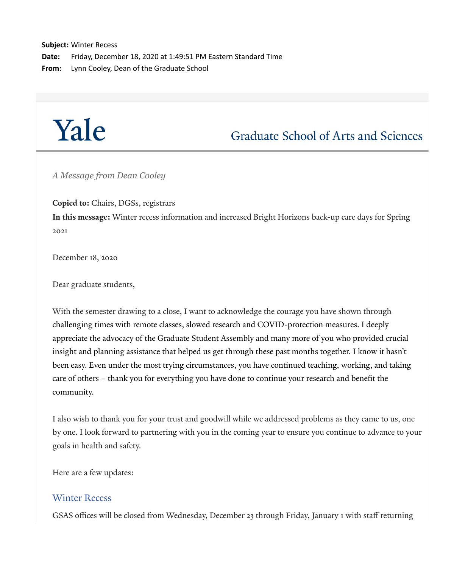**Subject:** Winter Recess **Date:** Friday, December 18, 2020 at 1:49:51 PM Eastern Standard Time **From:** Lynn Cooley, Dean of the Graduate School

# Yale

**Graduate School of Arts and Sciences** 

*A Message from Dean Cooley*

**Copied to:** Chairs, DGSs, registrars

**In this message:** Winter recess information and increased Bright Horizons back-up care days for Spring 2021

December 18, 2020

Dear graduate students,

With the semester drawing to a close, I want to acknowledge the courage you have shown through challenging times with remote classes, slowed research and COVID-protection measures. I deeply appreciate the advocacy of the Graduate Student Assembly and many more of you who provided crucial insight and planning assistance that helped us get through these past months together. I know it hasn't been easy. Even under the most trying circumstances, you have continued teaching, working, and taking care of others – thank you for everything you have done to continue your research and benefit the community.

I also wish to thank you for your trust and goodwill while we addressed problems as they came to us, one by one. I look forward to partnering with you in the coming year to ensure you continue to advance to your goals in health and safety.

Here are a few updates:

#### Winter Recess

GSAS offices will be closed from Wednesday, December 23 through Friday, January 1 with staff returning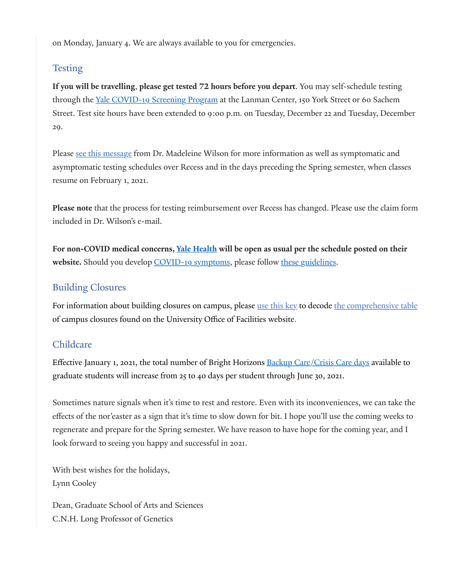on Monday, January 4. We are always available to you for emergencies.

### Testing

**If you will be travelling**, **please get tested 72 hours before you depart**. You may self-schedule testing through the <u>Yale COVID-19 Screening Program</u> at the Lanman Center, 150 York Street or 60 Sachem Street. Test site hours have been extended to 9:00 p.m. on Tuesday, December 22 and Tuesday, December 29.

Please <u>[see this message](https://click.message.yale.edu/?qs=d688b0b4b94c1b7cf49da1e60c93bc2aeea68a50c6eeca6c4db9441af989e1e6568746c5ba9febf6a8149e62ed35c2bf5248087ce661f550)</u> from Dr. Madeleine Wilson for more information as well as symptomatic and asymptomatic testing schedules over Recess and in the days preceding the Spring semester, when classes resume on February 1, 2021.

**Please note** that the process for testing reimbursement over Recess has changed. Please use the claim form included in Dr. Wilson's e-mail.

**For non-COVID medical concerns, [Yale Health](https://click.message.yale.edu/?qs=d688b0b4b94c1b7c8b010c8752c3abc934a3f1dba03d683181004ce63527b2d11ca186ad15f0f17aa7bb59597eeedecd611da6c6ce30ee3b) will be open as usual per the schedule posted on their** website. Should you develop [COVID-19 symptoms,](https://click.message.yale.edu/?qs=d688b0b4b94c1b7c78dbd474baec161817d67a81be96572b7b86e3c2215bc737a0135fb133296652d01ba51b6e1ba24aa84a43ede6fb7232) please follow [these guidelines.](https://click.message.yale.edu/?qs=d688b0b4b94c1b7cdffc21bfabd258203c6e0457de97da7b69c8544a2a5f3ab9e76f92a0da9ea7c3a1e372f10b0a48555f2b71f7a11d3c2d)

# Building Closures

For information about building closures on campus, please [use this key](https://click.message.yale.edu/?qs=d688b0b4b94c1b7c46ddc89708880b779d8efb0158968028cc7a37fdd142f946125066ea9302d6b535e74925c634eaeb8ade63c62caa6f4d) to decode [the comprehensive table](https://click.message.yale.edu/?qs=d688b0b4b94c1b7c2b62885cbb957f5c1aa1d128bde6062c213013fd2575ebe796eab14331ad2ca4c62dae0124f399d04edfc6c42df76502) of campus closures found on the University Office of Facilities website.

# Childcare

Effective January 1, 2021, the total number of Bright Horizons <u>[Backup Care/Crisis Care days](https://click.message.yale.edu/?qs=e140f14597cfd2ef9fbf58affdd496989b3fac217d48f9b870ff49b998e7b81ea04d6881d18a2bfee86d1b767e5af04159c654a8089bdfc0)</u> available to graduate students will increase from 25 to 40 days per student through June 30, 2021.

Sometimes nature signals when it's time to rest and restore. Even with its inconveniences, we can take the effects of the nor'easter as a sign that it's time to slow down for bit. I hope you'll use the coming weeks to regenerate and prepare for the Spring semester. We have reason to have hope for the coming year, and I look forward to seeing you happy and successful in 2021.

With best wishes for the holidays, Lynn Cooley

Dean, Graduate School of Arts and Sciences C.N.H. Long Professor of Genetics